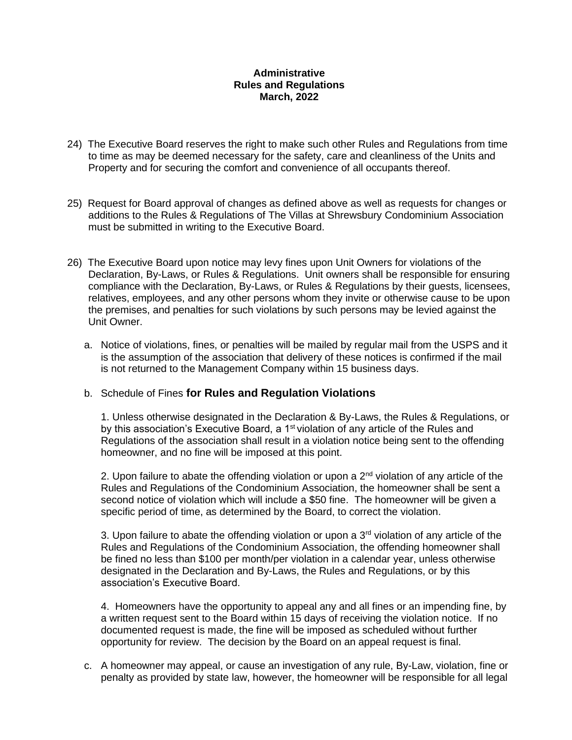## **Administrative Rules and Regulations March, 2022**

- 24) The Executive Board reserves the right to make such other Rules and Regulations from time to time as may be deemed necessary for the safety, care and cleanliness of the Units and Property and for securing the comfort and convenience of all occupants thereof.
- 25) Request for Board approval of changes as defined above as well as requests for changes or additions to the Rules & Regulations of The Villas at Shrewsbury Condominium Association must be submitted in writing to the Executive Board.
- 26) The Executive Board upon notice may levy fines upon Unit Owners for violations of the Declaration, By-Laws, or Rules & Regulations. Unit owners shall be responsible for ensuring compliance with the Declaration, By-Laws, or Rules & Regulations by their guests, licensees, relatives, employees, and any other persons whom they invite or otherwise cause to be upon the premises, and penalties for such violations by such persons may be levied against the Unit Owner.
	- a. Notice of violations, fines, or penalties will be mailed by regular mail from the USPS and it is the assumption of the association that delivery of these notices is confirmed if the mail is not returned to the Management Company within 15 business days.

## b. Schedule of Fines **for Rules and Regulation Violations**

1. Unless otherwise designated in the Declaration & By-Laws, the Rules & Regulations, or by this association's Executive Board, a 1<sup>st</sup> violation of any article of the Rules and Regulations of the association shall result in a violation notice being sent to the offending homeowner, and no fine will be imposed at this point.

2. Upon failure to abate the offending violation or upon a  $2<sup>nd</sup>$  violation of any article of the Rules and Regulations of the Condominium Association, the homeowner shall be sent a second notice of violation which will include a \$50 fine. The homeowner will be given a specific period of time, as determined by the Board, to correct the violation.

3. Upon failure to abate the offending violation or upon a  $3<sup>rd</sup>$  violation of any article of the Rules and Regulations of the Condominium Association, the offending homeowner shall be fined no less than \$100 per month/per violation in a calendar year, unless otherwise designated in the Declaration and By-Laws, the Rules and Regulations, or by this association's Executive Board.

4. Homeowners have the opportunity to appeal any and all fines or an impending fine, by a written request sent to the Board within 15 days of receiving the violation notice. If no documented request is made, the fine will be imposed as scheduled without further opportunity for review. The decision by the Board on an appeal request is final.

c. A homeowner may appeal, or cause an investigation of any rule, By-Law, violation, fine or penalty as provided by state law, however, the homeowner will be responsible for all legal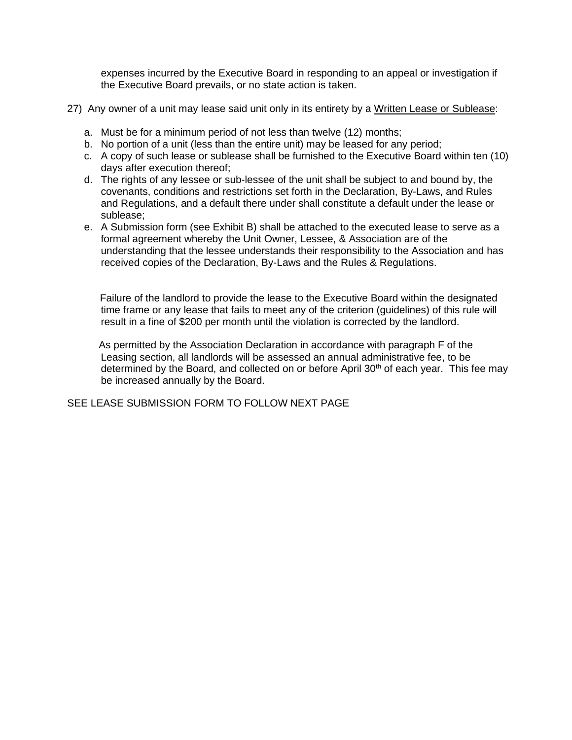expenses incurred by the Executive Board in responding to an appeal or investigation if the Executive Board prevails, or no state action is taken.

- 27) Any owner of a unit may lease said unit only in its entirety by a Written Lease or Sublease:
	- a. Must be for a minimum period of not less than twelve (12) months;
	- b. No portion of a unit (less than the entire unit) may be leased for any period;
	- c. A copy of such lease or sublease shall be furnished to the Executive Board within ten (10) days after execution thereof;
	- d. The rights of any lessee or sub-lessee of the unit shall be subject to and bound by, the covenants, conditions and restrictions set forth in the Declaration, By-Laws, and Rules and Regulations, and a default there under shall constitute a default under the lease or sublease;
	- e. A Submission form (see Exhibit B) shall be attached to the executed lease to serve as a formal agreement whereby the Unit Owner, Lessee, & Association are of the understanding that the lessee understands their responsibility to the Association and has received copies of the Declaration, By-Laws and the Rules & Regulations.

 Failure of the landlord to provide the lease to the Executive Board within the designated time frame or any lease that fails to meet any of the criterion (guidelines) of this rule will result in a fine of \$200 per month until the violation is corrected by the landlord.

 As permitted by the Association Declaration in accordance with paragraph F of the Leasing section, all landlords will be assessed an annual administrative fee, to be determined by the Board, and collected on or before April  $30<sup>th</sup>$  of each year. This fee may be increased annually by the Board.

SEE LEASE SUBMISSION FORM TO FOLLOW NEXT PAGE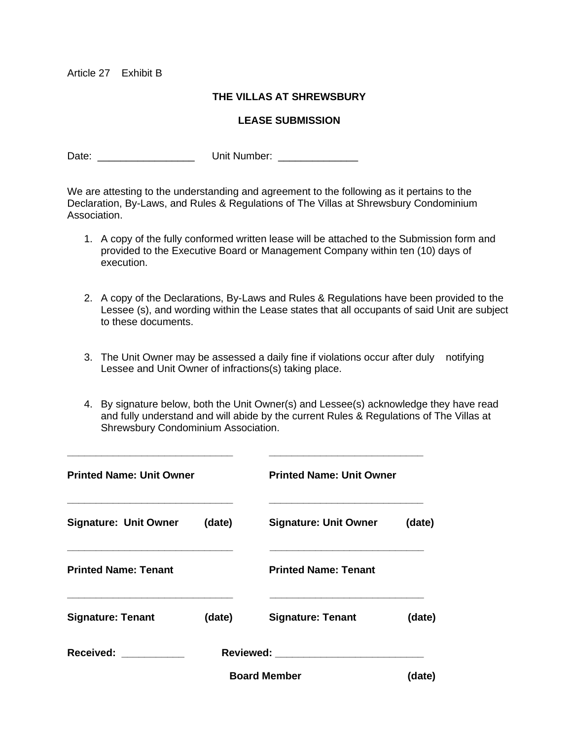Article 27 Exhibit B

## **THE VILLAS AT SHREWSBURY**

## **LEASE SUBMISSION**

Date: \_\_\_\_\_\_\_\_\_\_\_\_\_\_\_\_\_ Unit Number: \_\_\_\_\_\_\_\_\_\_\_\_\_\_

We are attesting to the understanding and agreement to the following as it pertains to the Declaration, By-Laws, and Rules & Regulations of The Villas at Shrewsbury Condominium Association.

- 1. A copy of the fully conformed written lease will be attached to the Submission form and provided to the Executive Board or Management Company within ten (10) days of execution.
- 2. A copy of the Declarations, By-Laws and Rules & Regulations have been provided to the Lessee (s), and wording within the Lease states that all occupants of said Unit are subject to these documents.
- 3. The Unit Owner may be assessed a daily fine if violations occur after duly notifying Lessee and Unit Owner of infractions(s) taking place.
- 4. By signature below, both the Unit Owner(s) and Lessee(s) acknowledge they have read and fully understand and will abide by the current Rules & Regulations of The Villas at Shrewsbury Condominium Association.

| <b>Printed Name: Unit Owner</b> |        | <b>Printed Name: Unit Owner</b> |        |
|---------------------------------|--------|---------------------------------|--------|
| <b>Signature: Unit Owner</b>    | (date) | <b>Signature: Unit Owner</b>    | (date) |
| <b>Printed Name: Tenant</b>     |        | <b>Printed Name: Tenant</b>     |        |
| <b>Signature: Tenant</b>        | (date) | <b>Signature: Tenant</b>        | (date) |
| Received: <b>Example 2019</b>   |        |                                 |        |
|                                 |        | <b>Board Member</b>             | (date) |

**\_\_\_\_\_\_\_\_\_\_\_\_\_\_\_\_\_\_\_\_\_\_\_\_\_\_\_\_\_ \_\_\_\_\_\_\_\_\_\_\_\_\_\_\_\_\_\_\_\_\_\_\_\_\_\_\_**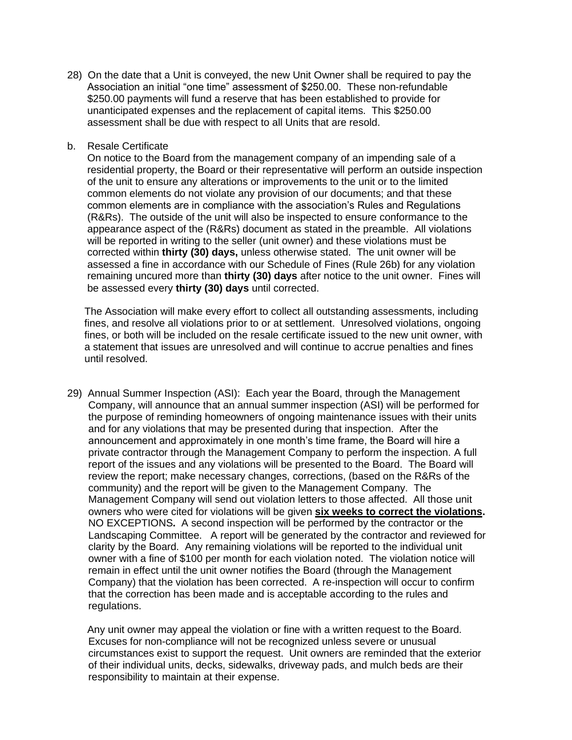- 28) On the date that a Unit is conveyed, the new Unit Owner shall be required to pay the Association an initial "one time" assessment of \$250.00. These non-refundable \$250.00 payments will fund a reserve that has been established to provide for unanticipated expenses and the replacement of capital items. This \$250.00 assessment shall be due with respect to all Units that are resold.
- b. Resale Certificate

 On notice to the Board from the management company of an impending sale of a residential property, the Board or their representative will perform an outside inspection of the unit to ensure any alterations or improvements to the unit or to the limited common elements do not violate any provision of our documents; and that these common elements are in compliance with the association's Rules and Regulations (R&Rs). The outside of the unit will also be inspected to ensure conformance to the appearance aspect of the (R&Rs) document as stated in the preamble. All violations will be reported in writing to the seller (unit owner) and these violations must be corrected within **thirty (30) days,** unless otherwise stated. The unit owner will be assessed a fine in accordance with our Schedule of Fines (Rule 26b) for any violation remaining uncured more than **thirty (30) days** after notice to the unit owner. Fines will be assessed every **thirty (30) days** until corrected.

 The Association will make every effort to collect all outstanding assessments, including fines, and resolve all violations prior to or at settlement. Unresolved violations, ongoing fines, or both will be included on the resale certificate issued to the new unit owner, with a statement that issues are unresolved and will continue to accrue penalties and fines until resolved.

29) Annual Summer Inspection (ASI): Each year the Board, through the Management Company, will announce that an annual summer inspection (ASI) will be performed for the purpose of reminding homeowners of ongoing maintenance issues with their units and for any violations that may be presented during that inspection. After the announcement and approximately in one month's time frame, the Board will hire a private contractor through the Management Company to perform the inspection. A full report of the issues and any violations will be presented to the Board. The Board will review the report; make necessary changes, corrections, (based on the R&Rs of the community) and the report will be given to the Management Company. The Management Company will send out violation letters to those affected. All those unit owners who were cited for violations will be given **six weeks to correct the violations.**  NO EXCEPTIONS**.** A second inspection will be performed by the contractor or the Landscaping Committee. A report will be generated by the contractor and reviewed for clarity by the Board. Any remaining violations will be reported to the individual unit owner with a fine of \$100 per month for each violation noted. The violation notice will remain in effect until the unit owner notifies the Board (through the Management Company) that the violation has been corrected. A re-inspection will occur to confirm that the correction has been made and is acceptable according to the rules and regulations.

 Any unit owner may appeal the violation or fine with a written request to the Board. Excuses for non-compliance will not be recognized unless severe or unusual circumstances exist to support the request. Unit owners are reminded that the exterior of their individual units, decks, sidewalks, driveway pads, and mulch beds are their responsibility to maintain at their expense.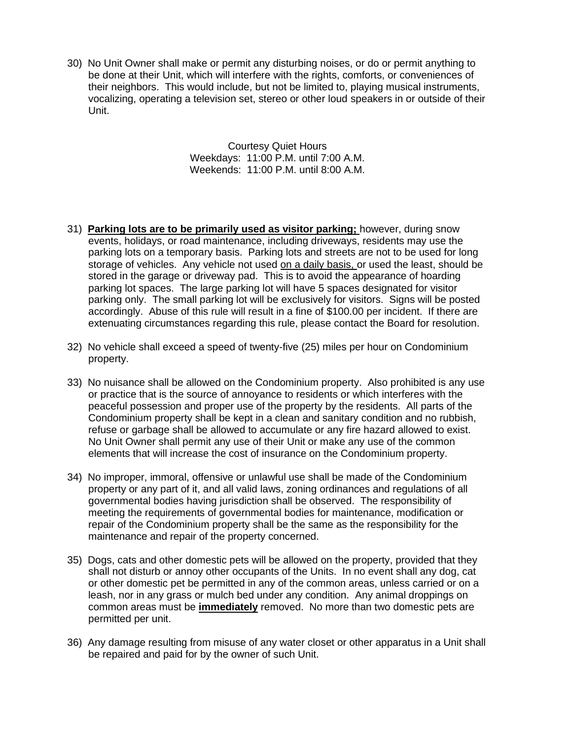30) No Unit Owner shall make or permit any disturbing noises, or do or permit anything to be done at their Unit, which will interfere with the rights, comforts, or conveniences of their neighbors. This would include, but not be limited to, playing musical instruments, vocalizing, operating a television set, stereo or other loud speakers in or outside of their Unit.

> Courtesy Quiet Hours Weekdays: 11:00 P.M. until 7:00 A.M. Weekends: 11:00 P.M. until 8:00 A.M.

- 31) **Parking lots are to be primarily used as visitor parking;** however, during snow events, holidays, or road maintenance, including driveways, residents may use the parking lots on a temporary basis. Parking lots and streets are not to be used for long storage of vehicles. Any vehicle not used on a daily basis, or used the least, should be stored in the garage or driveway pad. This is to avoid the appearance of hoarding parking lot spaces. The large parking lot will have 5 spaces designated for visitor parking only. The small parking lot will be exclusively for visitors. Signs will be posted accordingly. Abuse of this rule will result in a fine of \$100.00 per incident. If there are extenuating circumstances regarding this rule, please contact the Board for resolution.
- 32) No vehicle shall exceed a speed of twenty-five (25) miles per hour on Condominium property.
- 33) No nuisance shall be allowed on the Condominium property. Also prohibited is any use or practice that is the source of annoyance to residents or which interferes with the peaceful possession and proper use of the property by the residents. All parts of the Condominium property shall be kept in a clean and sanitary condition and no rubbish, refuse or garbage shall be allowed to accumulate or any fire hazard allowed to exist. No Unit Owner shall permit any use of their Unit or make any use of the common elements that will increase the cost of insurance on the Condominium property.
- 34) No improper, immoral, offensive or unlawful use shall be made of the Condominium property or any part of it, and all valid laws, zoning ordinances and regulations of all governmental bodies having jurisdiction shall be observed. The responsibility of meeting the requirements of governmental bodies for maintenance, modification or repair of the Condominium property shall be the same as the responsibility for the maintenance and repair of the property concerned.
- 35) Dogs, cats and other domestic pets will be allowed on the property, provided that they shall not disturb or annoy other occupants of the Units. In no event shall any dog, cat or other domestic pet be permitted in any of the common areas, unless carried or on a leash, nor in any grass or mulch bed under any condition. Any animal droppings on common areas must be **immediately** removed. No more than two domestic pets are permitted per unit.
- 36) Any damage resulting from misuse of any water closet or other apparatus in a Unit shall be repaired and paid for by the owner of such Unit.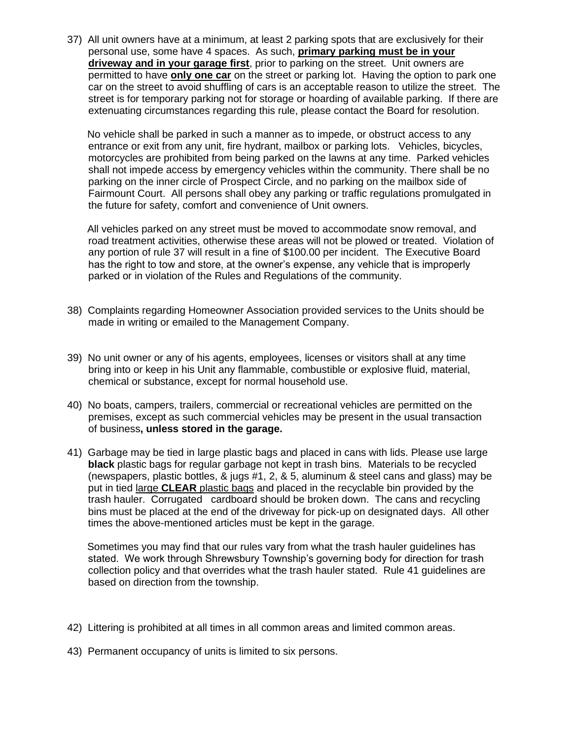37) All unit owners have at a minimum, at least 2 parking spots that are exclusively for their personal use, some have 4 spaces. As such, **primary parking must be in your driveway and in your garage first**, prior to parking on the street. Unit owners are permitted to have **only one car** on the street or parking lot. Having the option to park one car on the street to avoid shuffling of cars is an acceptable reason to utilize the street. The street is for temporary parking not for storage or hoarding of available parking. If there are extenuating circumstances regarding this rule, please contact the Board for resolution.

 No vehicle shall be parked in such a manner as to impede, or obstruct access to any entrance or exit from any unit, fire hydrant, mailbox or parking lots. Vehicles, bicycles, motorcycles are prohibited from being parked on the lawns at any time. Parked vehicles shall not impede access by emergency vehicles within the community. There shall be no parking on the inner circle of Prospect Circle, and no parking on the mailbox side of Fairmount Court. All persons shall obey any parking or traffic regulations promulgated in the future for safety, comfort and convenience of Unit owners.

 All vehicles parked on any street must be moved to accommodate snow removal, and road treatment activities, otherwise these areas will not be plowed or treated. Violation of any portion of rule 37 will result in a fine of \$100.00 per incident. The Executive Board has the right to tow and store, at the owner's expense, any vehicle that is improperly parked or in violation of the Rules and Regulations of the community.

- 38) Complaints regarding Homeowner Association provided services to the Units should be made in writing or emailed to the Management Company.
- 39) No unit owner or any of his agents, employees, licenses or visitors shall at any time bring into or keep in his Unit any flammable, combustible or explosive fluid, material, chemical or substance, except for normal household use.
- 40) No boats, campers, trailers, commercial or recreational vehicles are permitted on the premises, except as such commercial vehicles may be present in the usual transaction of business**, unless stored in the garage.**
- 41) Garbage may be tied in large plastic bags and placed in cans with lids. Please use large **black** plastic bags for regular garbage not kept in trash bins. Materials to be recycled (newspapers, plastic bottles, & jugs #1, 2, & 5, aluminum & steel cans and glass) may be put in tied large **CLEAR** plastic bags and placed in the recyclable bin provided by the trash hauler. Corrugated cardboard should be broken down. The cans and recycling bins must be placed at the end of the driveway for pick-up on designated days. All other times the above-mentioned articles must be kept in the garage.

 Sometimes you may find that our rules vary from what the trash hauler guidelines has stated. We work through Shrewsbury Township's governing body for direction for trash collection policy and that overrides what the trash hauler stated. Rule 41 guidelines are based on direction from the township.

- 42) Littering is prohibited at all times in all common areas and limited common areas.
- 43) Permanent occupancy of units is limited to six persons.